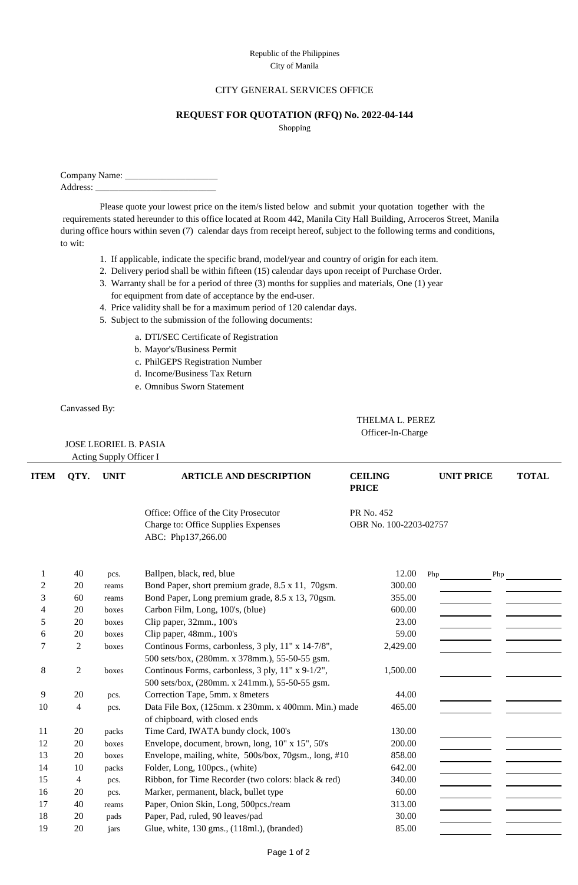## Republic of the Philippines City of Manila

## CITY GENERAL SERVICES OFFICE

## **REQUEST FOR QUOTATION (RFQ) No. 2022-04-144**

Shopping

Company Name: \_\_\_\_\_\_\_\_\_\_\_\_\_\_\_\_\_\_\_\_ Address:

Please quote your lowest price on the item/s listed below and submit your quotation together with the requirements stated hereunder to this office located at Room 442, Manila City Hall Building, Arroceros Street, Manila during office hours within seven (7) calendar days from receipt hereof, subject to the following terms and conditions, to wit:

- 1. If applicable, indicate the specific brand, model/year and country of origin for each item.
- 2. Delivery period shall be within fifteen (15) calendar days upon receipt of Purchase Order.
- 3. Warranty shall be for a period of three (3) months for supplies and materials, One (1) year for equipment from date of acceptance by the end-user.
- 4. Price validity shall be for a maximum period of 120 calendar days.
- 5. Subject to the submission of the following documents:
	- a. DTI/SEC Certificate of Registration
	- b. Mayor's/Business Permit
	- c. PhilGEPS Registration Number
	- d. Income/Business Tax Return
	- e. Omnibus Sworn Statement

Canvassed By:

 JOSE LEORIEL B. PASIA Acting Supply Officer I

 THELMA L. PEREZ Officer-In-Charge

| <b>ITEM</b> | QTY.           | <b>UNIT</b> | <b>ARTICLE AND DESCRIPTION</b>                                                                       | <b>CEILING</b><br><b>PRICE</b> | <b>UNIT PRICE</b> | <b>TOTAL</b> |
|-------------|----------------|-------------|------------------------------------------------------------------------------------------------------|--------------------------------|-------------------|--------------|
|             |                |             | Office: Office of the City Prosecutor                                                                | PR No. 452                     |                   |              |
|             |                |             | Charge to: Office Supplies Expenses<br>ABC: Php137,266.00                                            | OBR No. 100-2203-02757         |                   |              |
| 1           | 40             | pcs.        | Ballpen, black, red, blue                                                                            | 12.00                          | Php               | Php          |
| 2           | 20             | reams       | Bond Paper, short premium grade, 8.5 x 11, 70gsm.                                                    | 300.00                         |                   |              |
| 3           | 60             | reams       | Bond Paper, Long premium grade, 8.5 x 13, 70gsm.                                                     | 355.00                         |                   |              |
| 4           | 20             | boxes       | Carbon Film, Long, 100's, (blue)                                                                     | 600.00                         |                   |              |
| 5           | 20             | boxes       | Clip paper, 32mm., 100's                                                                             | 23.00                          |                   |              |
| 6           | 20             | boxes       | Clip paper, 48mm., 100's                                                                             | 59.00                          |                   |              |
| 7           | $\overline{2}$ | boxes       | Continous Forms, carbonless, 3 ply, 11" x 14-7/8",<br>500 sets/box, (280mm. x 378mm.), 55-50-55 gsm. | 2,429.00                       |                   |              |
| 8           | $\overline{2}$ | boxes       | Continous Forms, carbonless, 3 ply, 11" x 9-1/2",<br>500 sets/box, (280mm. x 241mm.), 55-50-55 gsm.  | 1,500.00                       |                   |              |
| 9           | 20             | pcs.        | Correction Tape, 5mm. x 8meters                                                                      | 44.00                          |                   |              |
| 10          | 4              | pcs.        | Data File Box, (125mm. x 230mm. x 400mm. Min.) made<br>of chipboard, with closed ends                | 465.00                         |                   |              |
| 11          | 20             | packs       | Time Card, IWATA bundy clock, 100's                                                                  | 130.00                         |                   |              |
| 12          | 20             | boxes       | Envelope, document, brown, long, 10" x 15", 50's                                                     | 200.00                         |                   |              |
| 13          | 20             | boxes       | Envelope, mailing, white, 500s/box, 70gsm., long, #10                                                | 858.00                         |                   |              |
| 14          | 10             | packs       | Folder, Long, 100pcs., (white)                                                                       | 642.00                         |                   |              |
| 15          | 4              | pcs.        | Ribbon, for Time Recorder (two colors: black & red)                                                  | 340.00                         |                   |              |
| 16          | 20             | pcs.        | Marker, permanent, black, bullet type                                                                | 60.00                          |                   |              |
| 17          | 40             | reams       | Paper, Onion Skin, Long, 500pcs./ream                                                                | 313.00                         |                   |              |
| 18          | 20             | pads        | Paper, Pad, ruled, 90 leaves/pad                                                                     | 30.00                          |                   |              |
| 19          | 20             | jars        | Glue, white, 130 gms., (118ml.), (branded)                                                           | 85.00                          |                   |              |